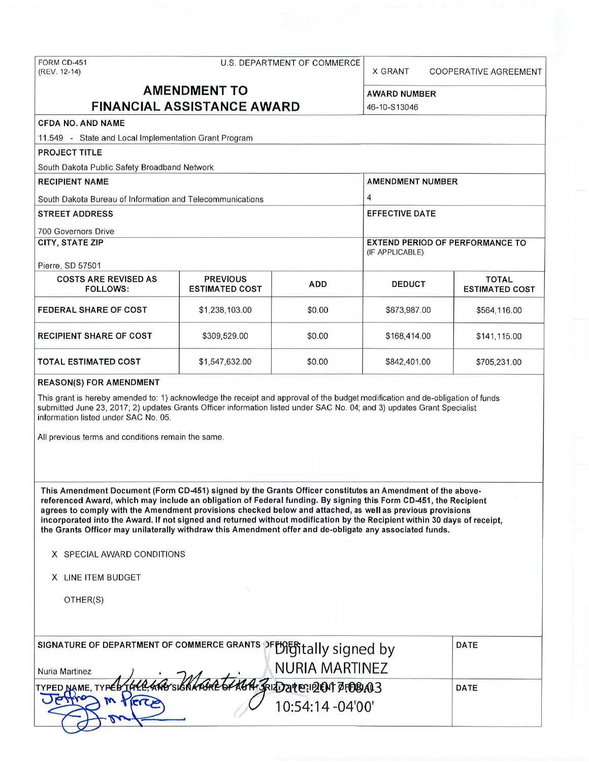# FORM CD-451 U.S. DEPARTMENT OF COMMERCE

X GRANT COOPERATIVE AGREEMENT

## **AMENDMENT TO** AWARD NUMBER **FINANCIAL ASSISTANCE AWARD** 46-10-S13046

## **CFDA NO. AND NAME**

**PROJECT TITLE** 

11.549 - State and Local Implementation Grant Program

| South Dakota Public Safety Broadband Network              |                                                    |              |                       |                                       |  |  |  |  |  |  |  |
|-----------------------------------------------------------|----------------------------------------------------|--------------|-----------------------|---------------------------------------|--|--|--|--|--|--|--|
| <b>RECIPIENT NAME</b>                                     | <b>AMENDMENT NUMBER</b>                            |              |                       |                                       |  |  |  |  |  |  |  |
| South Dakota Bureau of Information and Telecommunications | 4                                                  |              |                       |                                       |  |  |  |  |  |  |  |
| <b>STREET ADDRESS</b>                                     |                                                    |              | <b>EFFECTIVE DATE</b> |                                       |  |  |  |  |  |  |  |
| 700 Governors Drive                                       |                                                    |              |                       |                                       |  |  |  |  |  |  |  |
| <b>CITY, STATE ZIP</b>                                    | EXTEND PERIOD OF PERFORMANCE TO<br>(IF APPLICABLE) |              |                       |                                       |  |  |  |  |  |  |  |
| Pierre, SD 57501                                          |                                                    |              |                       |                                       |  |  |  |  |  |  |  |
| <b>COSTS ARE REVISED AS</b><br><b>FOLLOWS:</b>            | <b>PREVIOUS</b><br><b>ESTIMATED COST</b>           | ADD          | <b>DEDUCT</b>         | <b>TOTAL</b><br><b>ESTIMATED COST</b> |  |  |  |  |  |  |  |
| <b>FEDERAL SHARE OF COST</b>                              | \$673,987.00                                       | \$564,116.00 |                       |                                       |  |  |  |  |  |  |  |
| <b>RECIPIENT SHARE OF COST</b>                            | \$168,414.00                                       | \$141.115.00 |                       |                                       |  |  |  |  |  |  |  |
| <b>TOTAL ESTIMATED COST</b>                               | \$1,547,632.00                                     | \$0.00       | \$842,401.00          | \$705,231.00                          |  |  |  |  |  |  |  |

#### **REASON(S) FOR AMENDMENT**

This grant is hereby amended to: 1) acknowledge the receipt and approval of the budget modification and de-obligation of funds submitted June 23, 2017; 2) updates Grants Officer information listed under SAC No. 04; and 3) updates Grant Specialist information listed under SAC No. 05.

All previous terms and conditions remain the same.

**This Amendment Document (Form CD-451) signed by the Grants Officer constitutes an Amendment of the abovereferenced Award, which may include an obligation of Federal funding. By signing this Form CD-451, the Recipient agrees to comply with the Amendment provisions checked below and attached, as well as previous provisions incorporated into the Award. If not signed and returned without modification by the Recipient within 30 days of rece ipt, the Grants Officer may unilaterally withdraw this Amendment offer and de-obligate any associated funds.** 

- **X** SPECIAL AWARD CONDITIONS
- **X** LINE ITEM BUDGET

OTHER(S)

| SIGNATURE OF DEPARTMENT OF COMMERCE GRANTS DFFORTIALLY SIGNed by    |                  | DATE        |
|---------------------------------------------------------------------|------------------|-------------|
| Nuria Martinez                                                      | NURIA MARTINEZ   |             |
| TYPED NAME, TYPED THLE AND SIGNALLED AGA. SRIED 21 E: 12 CM 7:08143 | 10:54:14 -04'00' | <b>DATE</b> |
|                                                                     |                  |             |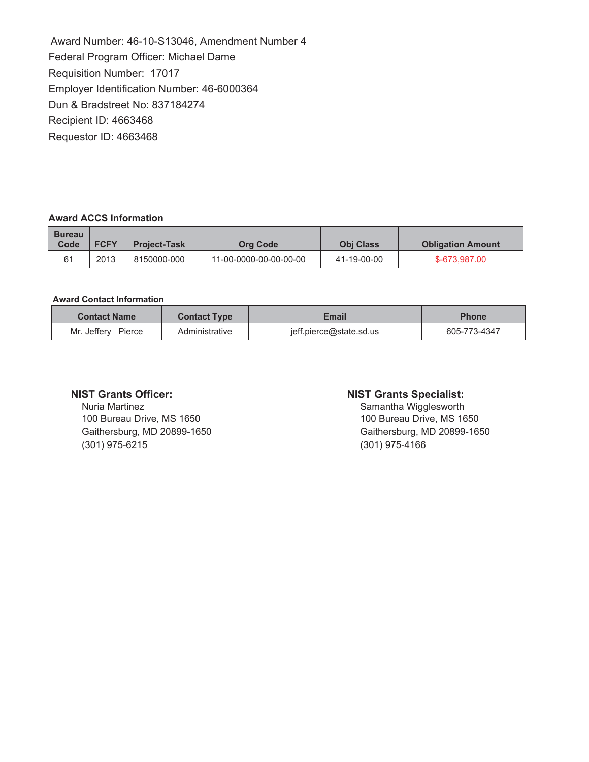Award Number: 46-10-S13046, Amendment Number 4 Federal Program Officer: Michael Dame Requisition Number: 17017 Employer Identification Number: 46-6000364 Dun & Bradstreet No: 837184274 Recipient ID: 4663468 Requestor ID: 4663468

## **Award ACCS Information**

| <b>Bureau</b><br>Code | <b>FCFY</b> | <b>Project-Task</b> | <b>Org Code</b>        | <b>Obi Class</b> | <b>Obligation Amount</b> |  |
|-----------------------|-------------|---------------------|------------------------|------------------|--------------------------|--|
| 61                    | 2013        | 8150000-000         | 11-00-0000-00-00-00-00 | 41-19-00-00      | \$-673.987.00            |  |

#### **Award Contact Information**

| <b>Contact Name</b><br>Email<br><b>Contact Type</b> |                |                         | <b>Phone</b> |
|-----------------------------------------------------|----------------|-------------------------|--------------|
| Mr. Jeffery<br>Pierce                               | Administrative | jeff.pierce@state.sd.us | 605-773-4347 |

## **NIST Grants Officer:**

Nuria Martinez 100 Bureau Drive, MS 1650 Gaithersburg, MD 20899-1650 (301) 975-6215

#### **NIST Grants Specialist:**

Samantha Wigglesworth 100 Bureau Drive, MS 1650 Gaithersburg, MD 20899-1650  $(301)$  975-4166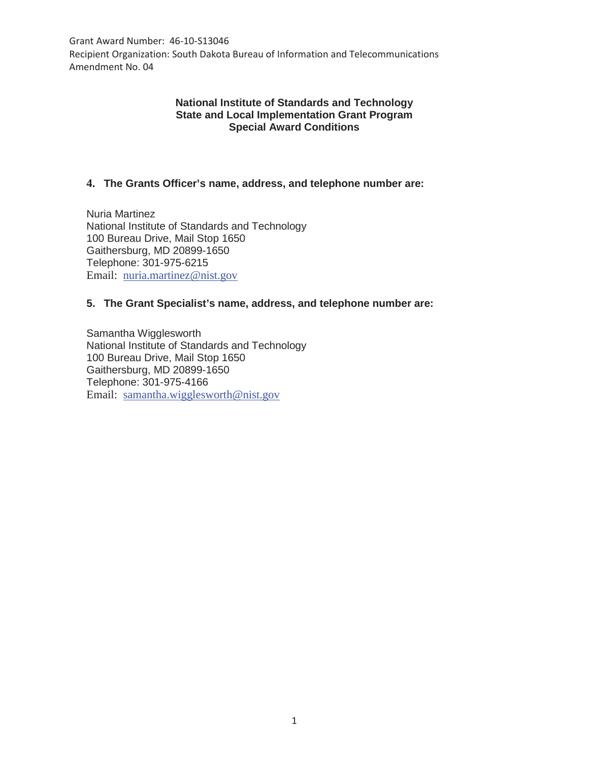Grant Award Number: 46-10-S13046

Recipient Organization: South Dakota Bureau of Information and Telecommunications Amendment No. 04

## **National Institute of Standards and Technology State and Local Implementation Grant Program Special Award Conditions**

## **4. The Grants Officer's name, address, and telephone number are:**

Nuria Martinez National Institute of Standards and Technology 100 Bureau Drive, Mail Stop 1650 Gaithersburg, MD 20899-1650 Telephone: 301-975-6215 Email: nuria.martinez@nist.gov

## **5. The Grant Specialist's name, address, and telephone number are:**

Samantha Wigglesworth National Institute of Standards and Technology 100 Bureau Drive, Mail Stop 1650 Gaithersburg, MD 20899-1650 Telephone: 301-975-4166 Email: samantha.wigglesworth@nist.gov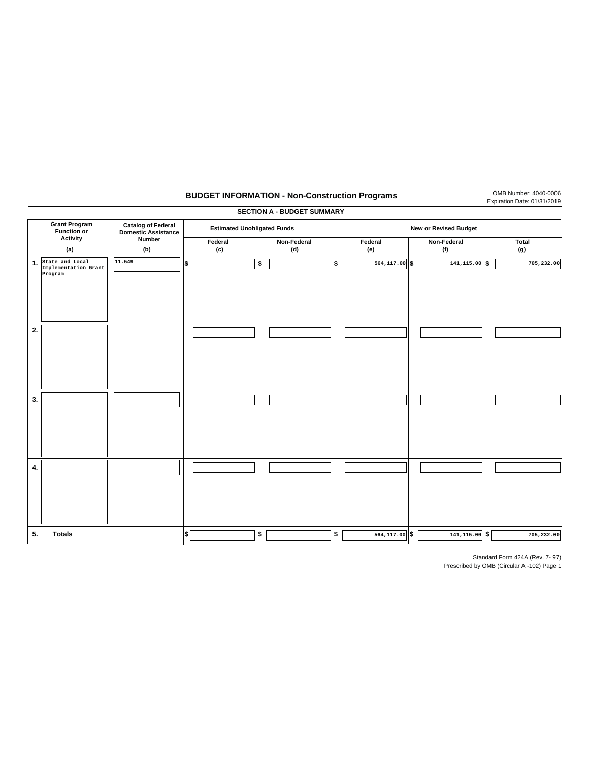## **BUDGET INFORMATION - Non-Construction Programs** OMB Number: 4040-0006

| <b>SECTION A - BUDGET SUMMARY</b>          |                                                    |                                                         |                                       |    |                              |     |                  |  |                    |  |              |
|--------------------------------------------|----------------------------------------------------|---------------------------------------------------------|---------------------------------------|----|------------------------------|-----|------------------|--|--------------------|--|--------------|
| <b>Grant Program</b><br><b>Function or</b> |                                                    | <b>Catalog of Federal</b><br><b>Domestic Assistance</b> | <b>Estimated Unobligated Funds</b>    |    | <b>New or Revised Budget</b> |     |                  |  |                    |  |              |
|                                            | Activity<br>(a)                                    | Number<br>(b)                                           | Federal<br>$\left( \mathsf{c}\right)$ |    | Non-Federal<br>(d)           |     | Federal<br>(e)   |  | Non-Federal<br>(f) |  | Total<br>(g) |
| 1.                                         | State and Local<br>Implementation Grant<br>Program | 11.549                                                  | Ι\$                                   | \$ |                              | Ι\$ | 564,117.00 \$    |  | $141, 115.00$ \$   |  | 705,232.00   |
| 2.                                         |                                                    |                                                         |                                       |    |                              |     |                  |  |                    |  |              |
| 3.                                         |                                                    |                                                         |                                       |    |                              |     |                  |  |                    |  |              |
| 4.                                         |                                                    |                                                         |                                       |    |                              |     |                  |  |                    |  |              |
| 5.                                         | <b>Totals</b>                                      |                                                         | ∣\$                                   | \$ |                              | ∣\$ | $564, 117.00$ \$ |  | $141, 115.00$ \$   |  | 705,232.00   |

Standard Form 424A (Rev. 7- 97)

Expiration Date: 01/31/2019

Prescribed by OMB (Circular A -102) Page 1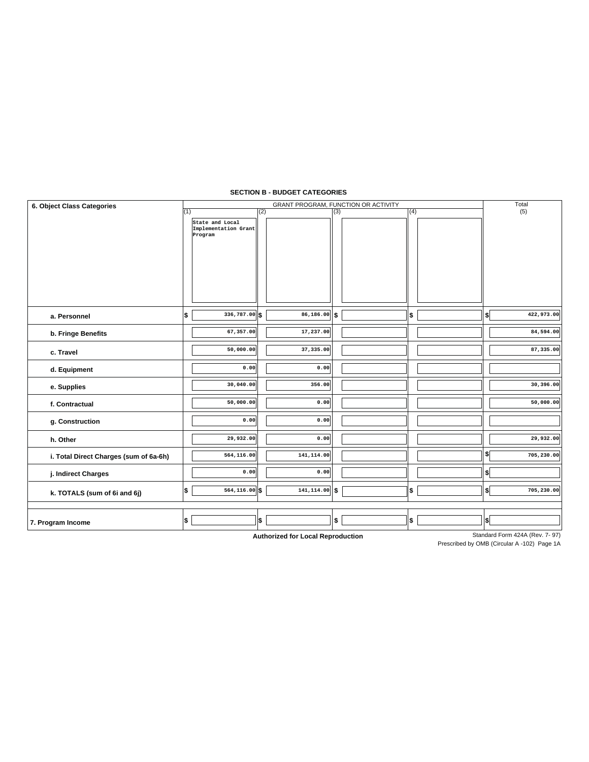#### **SECTION B - BUDGET CATEGORIES**

| 6. Object Class Categories             |                                                    | Total            |     |     |                  |
|----------------------------------------|----------------------------------------------------|------------------|-----|-----|------------------|
|                                        | (1)                                                | (2)              | (3) | (4) | (5)              |
|                                        | State and Local<br>Implementation Grant<br>Program |                  |     |     |                  |
| a. Personnel                           | $336,787.00$ \$<br>5                               | $86,186.00$ \$   |     | \$  | 422,973.00<br>\$ |
| b. Fringe Benefits                     | 67,357.00                                          | 17,237.00        |     |     | 84,594.00        |
| c. Travel                              | 50,000.00                                          | 37,335.00        |     |     | 87,335.00        |
| d. Equipment                           | 0.00                                               | 0.00             |     |     |                  |
| e. Supplies                            | 30,040.00                                          | 356.00           |     |     | 30,396.00        |
| f. Contractual                         | 50,000.00                                          | 0.00             |     |     | 50,000.00        |
| g. Construction                        | 0.00                                               | 0.00             |     |     |                  |
| h. Other                               | 29,932.00                                          | 0.00             |     |     | 29,932.00        |
| i. Total Direct Charges (sum of 6a-6h) | 564,116.00                                         | 141,114.00       |     |     | \$<br>705,230.00 |
| j. Indirect Charges                    | 0.00                                               | 0.00             |     |     | \$               |
| k. TOTALS (sum of 6i and 6j)           | Ι\$<br>564,116.00 \$                               | $141, 114.00$ \$ |     | \$  | 705,230.00<br>\$ |
|                                        |                                                    |                  |     |     |                  |
| 7. Program Income                      | \$                                                 | \$               | \$  | \$  | \$               |

**Authorized for Local Reproduction**

Standard Form 424A (Rev. 7-97)

Prescribed by OMB (Circular A -102) Page 1A